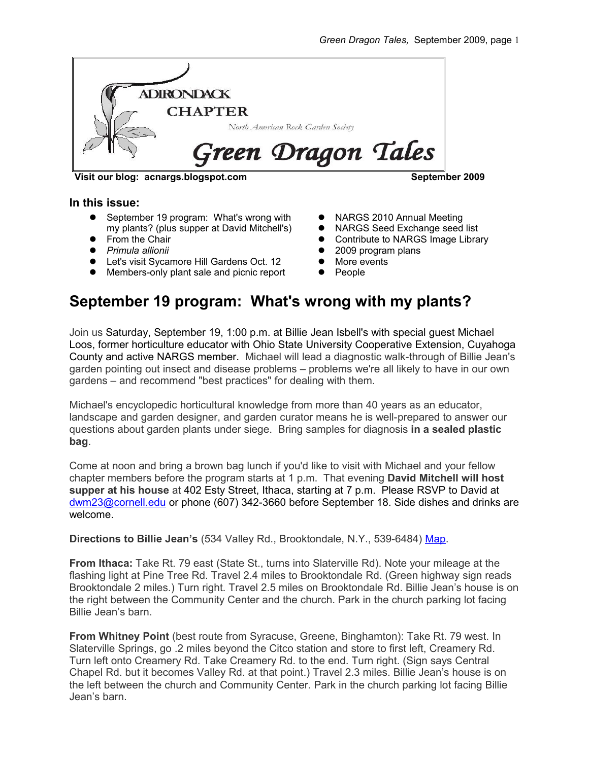

**Visit our blog: acnargs.blogspot.com September 2009**

#### **In this issue:**

- September 19 program: What's wrong with my plants? (plus supper at David Mitchell's)
- $\bullet$  From the Chair
- *Primula allionii*
- Let's visit Sycamore Hill Gardens Oct. 12
- Members-only plant sale and picnic report
- NARGS 2010 Annual Meeting
- NARGS Seed Exchange seed list
- **•** Contribute to NARGS Image Library
- 2009 program plans
- More events
- People

# **September 19 program: What's wrong with my plants?**

Join us Saturday, September 19, 1:00 p.m. at Billie Jean Isbell's with special guest Michael Loos, former horticulture educator with Ohio State University Cooperative Extension, Cuyahoga County and active NARGS member. Michael will lead a diagnostic walk-through of Billie Jean's garden pointing out insect and disease problems – problems we're all likely to have in our own gardens – and recommend "best practices" for dealing with them.

Michael's encyclopedic horticultural knowledge from more than 40 years as an educator, landscape and garden designer, and garden curator means he is well-prepared to answer our questions about garden plants under siege. Bring samples for diagnosis **in a sealed plastic bag**.

Come at noon and bring a brown bag lunch if you'd like to visit with Michael and your fellow chapter members before the program starts at 1 p.m. That evening **David Mitchell will host supper at his house** at 402 Esty Street, Ithaca, starting at 7 p.m. Please RSVP to David at [dwm23@cornell.edu](mailto:dwm23@cornell.edu) or phone (607) 342-3660 before September 18. Side dishes and drinks are welcome.

**Directions to Billie Jean's** (534 Valley Rd., Brooktondale, N.Y., 539-6484) [Map.](http://maps.google.com/maps?f=q&source=s_q&hl=en&geocode=&q=534+Valley+Rd.,+Brooktondale,+N.Y.&sll=37.0625,-95.677068&sspn=32.472848,56.513672&ie=UTF8&ll=42.382989,-76.392531&spn=0.014772,0.027595&z=15&iwloc=A)

**From Ithaca:** Take Rt. 79 east (State St., turns into Slaterville Rd). Note your mileage at the flashing light at Pine Tree Rd. Travel 2.4 miles to Brooktondale Rd. (Green highway sign reads Brooktondale 2 miles.) Turn right. Travel 2.5 miles on Brooktondale Rd. Billie Jean's house is on the right between the Community Center and the church. Park in the church parking lot facing Billie Jean's barn.

**From Whitney Point** (best route from Syracuse, Greene, Binghamton): Take Rt. 79 west. In Slaterville Springs, go .2 miles beyond the Citco station and store to first left, Creamery Rd. Turn left onto Creamery Rd. Take Creamery Rd. to the end. Turn right. (Sign says Central Chapel Rd. but it becomes Valley Rd. at that point.) Travel 2.3 miles. Billie Jean's house is on the left between the church and Community Center. Park in the church parking lot facing Billie Jean's barn.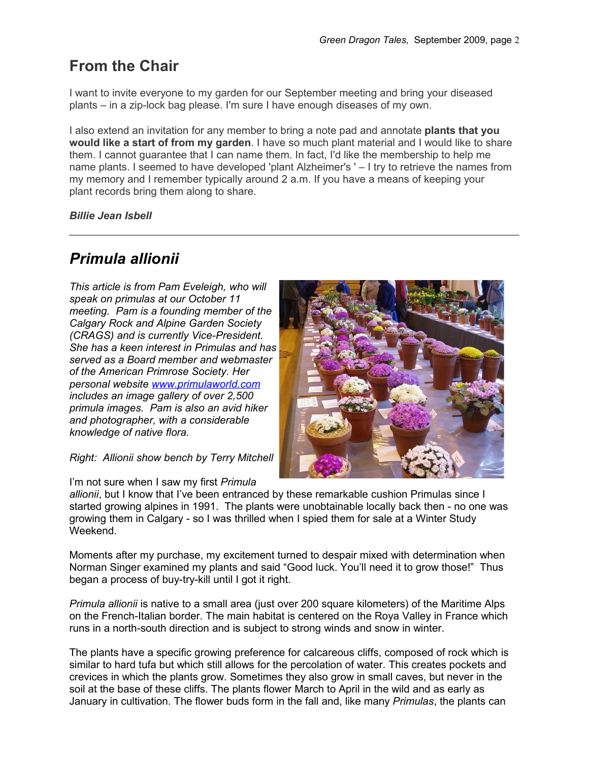# **From the Chair**

I want to invite everyone to my garden for our September meeting and bring your diseased plants – in a zip-lock bag please. I'm sure I have enough diseases of my own.

I also extend an invitation for any member to bring a note pad and annotate **plants that you would like a start of from my garden**. I have so much plant material and I would like to share them. I cannot guarantee that I can name them. In fact, I'd like the membership to help me name plants. I seemed to have developed 'plant Alzheimer's ' – I try to retrieve the names from my memory and I remember typically around 2 a.m. If you have a means of keeping your plant records bring them along to share.

*Billie Jean Isbell*

# *Primula allionii*

*This article is from Pam Eveleigh, who will speak on primulas at our October 11 meeting. Pam is a founding member of the Calgary Rock and Alpine Garden Society (CRAGS) and is currently Vice-President. She has a keen interest in Primulas and has served as a Board member and webmaster of the American Primrose Society. Her personal website [www.primulaworld.com](http://www.primulaworld.com/) includes an image gallery of over 2,500 primula images. Pam is also an avid hiker and photographer, with a considerable knowledge of native flora.*

*Right: Allionii show bench by Terry Mitchell*

I'm not sure when I saw my first *Primula*



*allionii*, but I know that I've been entranced by these remarkable cushion Primulas since I started growing alpines in 1991. The plants were unobtainable locally back then - no one was growing them in Calgary - so I was thrilled when I spied them for sale at a Winter Study Weekend.

Moments after my purchase, my excitement turned to despair mixed with determination when Norman Singer examined my plants and said "Good luck. You'll need it to grow those!" Thus began a process of buy-try-kill until I got it right.

*Primula allionii* is native to a small area (just over 200 square kilometers) of the Maritime Alps on the French-Italian border. The main habitat is centered on the Roya Valley in France which runs in a north-south direction and is subject to strong winds and snow in winter.

The plants have a specific growing preference for calcareous cliffs, composed of rock which is similar to hard tufa but which still allows for the percolation of water. This creates pockets and crevices in which the plants grow. Sometimes they also grow in small caves, but never in the soil at the base of these cliffs. The plants flower March to April in the wild and as early as January in cultivation. The flower buds form in the fall and, like many *Primulas*, the plants can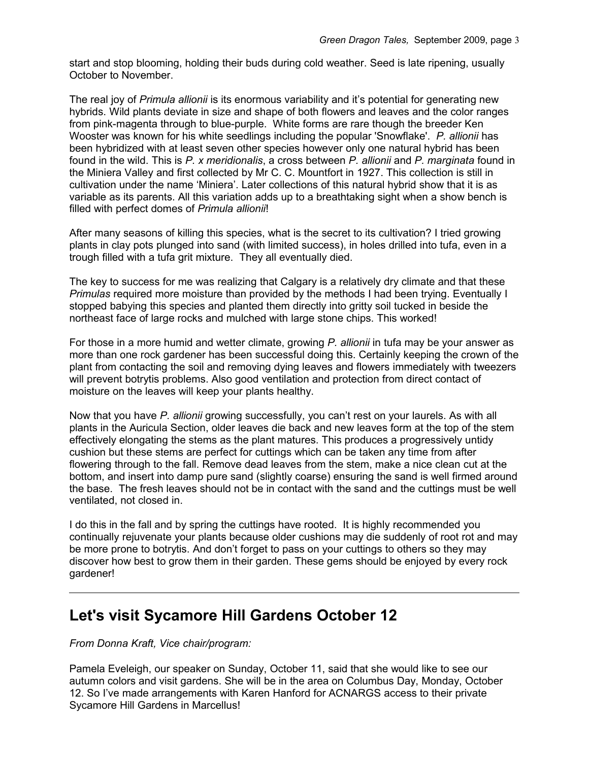start and stop blooming, holding their buds during cold weather. Seed is late ripening, usually October to November.

The real joy of *Primula allionii* is its enormous variability and it's potential for generating new hybrids. Wild plants deviate in size and shape of both flowers and leaves and the color ranges from pink-magenta through to blue-purple. White forms are rare though the breeder Ken Wooster was known for his white seedlings including the popular 'Snowflake'. *P. allionii* has been hybridized with at least seven other species however only one natural hybrid has been found in the wild. This is *P. x meridionalis*, a cross between *P. allionii* and *P. marginata* found in the Miniera Valley and first collected by Mr C. C. Mountfort in 1927. This collection is still in cultivation under the name 'Miniera'. Later collections of this natural hybrid show that it is as variable as its parents. All this variation adds up to a breathtaking sight when a show bench is filled with perfect domes of *Primula allionii*!

After many seasons of killing this species, what is the secret to its cultivation? I tried growing plants in clay pots plunged into sand (with limited success), in holes drilled into tufa, even in a trough filled with a tufa grit mixture. They all eventually died.

The key to success for me was realizing that Calgary is a relatively dry climate and that these *Primulas* required more moisture than provided by the methods I had been trying. Eventually I stopped babying this species and planted them directly into gritty soil tucked in beside the northeast face of large rocks and mulched with large stone chips. This worked!

For those in a more humid and wetter climate, growing *P. allionii* in tufa may be your answer as more than one rock gardener has been successful doing this. Certainly keeping the crown of the plant from contacting the soil and removing dying leaves and flowers immediately with tweezers will prevent botrytis problems. Also good ventilation and protection from direct contact of moisture on the leaves will keep your plants healthy.

Now that you have *P. allionii* growing successfully, you can't rest on your laurels. As with all plants in the Auricula Section, older leaves die back and new leaves form at the top of the stem effectively elongating the stems as the plant matures. This produces a progressively untidy cushion but these stems are perfect for cuttings which can be taken any time from after flowering through to the fall. Remove dead leaves from the stem, make a nice clean cut at the bottom, and insert into damp pure sand (slightly coarse) ensuring the sand is well firmed around the base. The fresh leaves should not be in contact with the sand and the cuttings must be well ventilated, not closed in.

I do this in the fall and by spring the cuttings have rooted. It is highly recommended you continually rejuvenate your plants because older cushions may die suddenly of root rot and may be more prone to botrytis. And don't forget to pass on your cuttings to others so they may discover how best to grow them in their garden. These gems should be enjoyed by every rock gardener!

#### **Let's visit Sycamore Hill Gardens October 12**

#### *From Donna Kraft, Vice chair/program:*

Pamela Eveleigh, our speaker on Sunday, October 11, said that she would like to see our autumn colors and visit gardens. She will be in the area on Columbus Day, Monday, October 12. So I've made arrangements with Karen Hanford for ACNARGS access to their private Sycamore Hill Gardens in Marcellus!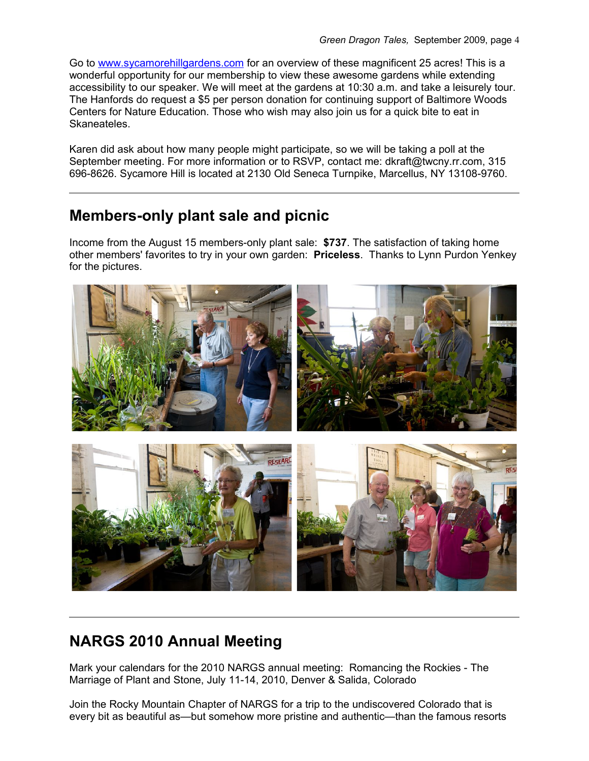Go to [www.sycamorehillgardens.com](http://www.sycamorehillgardens.com/) for an overview of these magnificent 25 acres! This is a wonderful opportunity for our membership to view these awesome gardens while extending accessibility to our speaker. We will meet at the gardens at 10:30 a.m. and take a leisurely tour. The Hanfords do request a \$5 per person donation for continuing support of Baltimore Woods Centers for Nature Education. Those who wish may also join us for a quick bite to eat in Skaneateles.

Karen did ask about how many people might participate, so we will be taking a poll at the September meeting. For more information or to RSVP, contact me: dkraft@twcny.rr.com, 315 696-8626. Sycamore Hill is located at 2130 Old Seneca Turnpike, Marcellus, NY 13108-9760.

#### **Members-only plant sale and picnic**

Income from the August 15 members-only plant sale: **\$737**. The satisfaction of taking home other members' favorites to try in your own garden: **Priceless**. Thanks to Lynn Purdon Yenkey for the pictures.



# **NARGS 2010 Annual Meeting**

Mark your calendars for the 2010 NARGS annual meeting: Romancing the Rockies - The Marriage of Plant and Stone, July 11-14, 2010, Denver & Salida, Colorado

Join the Rocky Mountain Chapter of NARGS for a trip to the undiscovered Colorado that is every bit as beautiful as—but somehow more pristine and authentic—than the famous resorts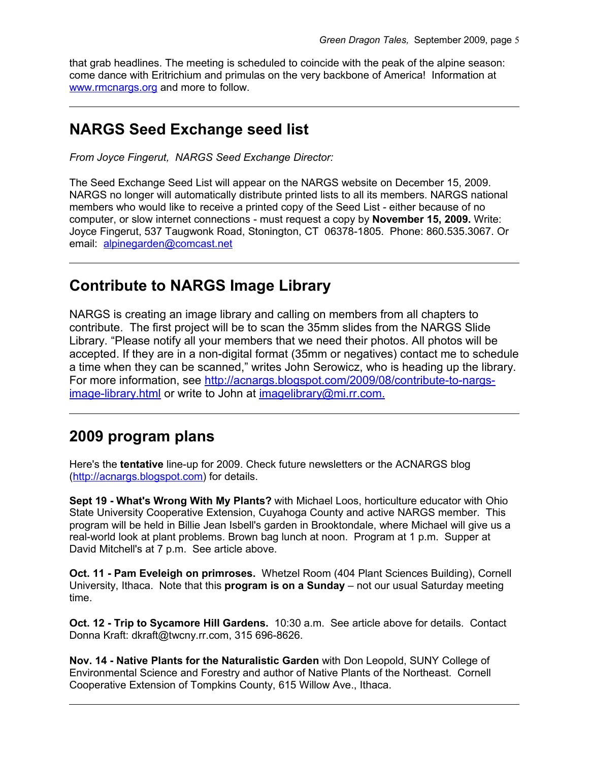that grab headlines. The meeting is scheduled to coincide with the peak of the alpine season: come dance with Eritrichium and primulas on the very backbone of America! Information at [www.rmcnargs.org](http://www.rmcnargs.org/) and more to follow.

#### **NARGS Seed Exchange seed list**

*From Joyce Fingerut, NARGS Seed Exchange Director:*

The Seed Exchange Seed List will appear on the NARGS website on December 15, 2009. NARGS no longer will automatically distribute printed lists to all its members. NARGS national members who would like to receive a printed copy of the Seed List - either because of no computer, or slow internet connections - must request a copy by **November 15, 2009.** Write: Joyce Fingerut, 537 Taugwonk Road, Stonington, CT 06378-1805. Phone: 860.535.3067. Or email: [alpinegarden@comcast.net](mailto:alpinegarden@comcast.net)

#### **Contribute to NARGS Image Library**

NARGS is creating an image library and calling on members from all chapters to contribute. The first project will be to scan the 35mm slides from the NARGS Slide Library. "Please notify all your members that we need their photos. All photos will be accepted. If they are in a non-digital format (35mm or negatives) contact me to schedule a time when they can be scanned," writes John Serowicz, who is heading up the library. For more information, see [http://acnargs.blogspot.com/2009/08/contribute-to-nargs](http://acnargs.blogspot.com/2009/08/contribute-to-nargs-image-library.html)[image-library.html](http://acnargs.blogspot.com/2009/08/contribute-to-nargs-image-library.html) or write to John at [imagelibrary@mi.rr.com.](mailto:imagelibrary@mi.rr.com)

# **2009 program plans**

Here's the **tentative** line-up for 2009. Check future newsletters or the ACNARGS blog [\(http://acnargs.blogspot.com\)](http://acnargs.blogspot.com/) for details.

**Sept 19 - What's Wrong With My Plants?** with Michael Loos, horticulture educator with Ohio State University Cooperative Extension, Cuyahoga County and active NARGS member. This program will be held in Billie Jean Isbell's garden in Brooktondale, where Michael will give us a real-world look at plant problems. Brown bag lunch at noon. Program at 1 p.m. Supper at David Mitchell's at 7 p.m. See article above.

**Oct. 11 - Pam Eveleigh on primroses.** Whetzel Room (404 Plant Sciences Building), Cornell University, Ithaca. Note that this **program is on a Sunday** – not our usual Saturday meeting time.

**Oct. 12 - Trip to Sycamore Hill Gardens.** 10:30 a.m. See article above for details. Contact Donna Kraft: dkraft@twcny.rr.com, 315 696-8626.

**Nov. 14 - Native Plants for the Naturalistic Garden** with Don Leopold, SUNY College of Environmental Science and Forestry and author of Native Plants of the Northeast. Cornell Cooperative Extension of Tompkins County, 615 Willow Ave., Ithaca.